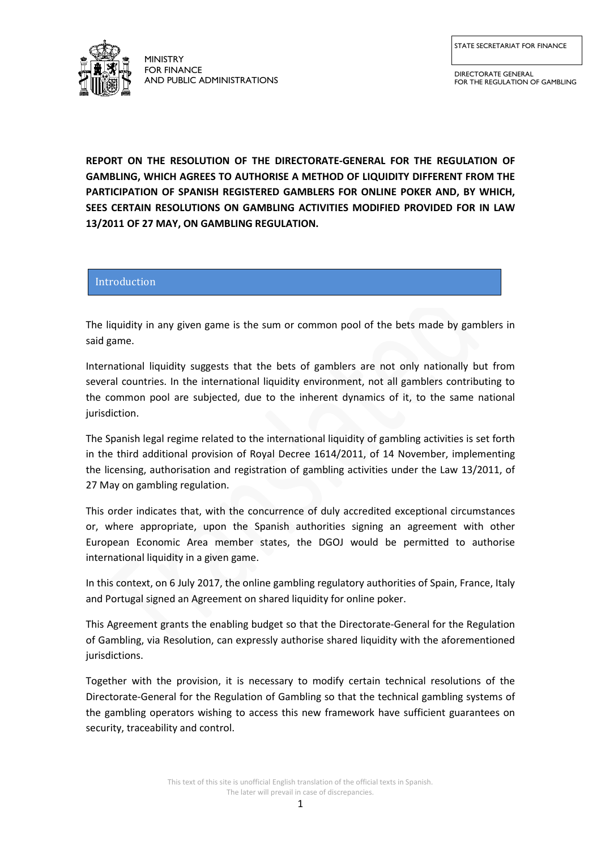STATE SECRETARIAT FOR FINANCE



MINISTRY FOR FINANCE AND PUBLIC ADMINISTRATIONS

DIRECTORATE GENERAL FOR THE REGULATION OF GAMBLING

**REPORT ON THE RESOLUTION OF THE DIRECTORATE-GENERAL FOR THE REGULATION OF GAMBLING, WHICH AGREES TO AUTHORISE A METHOD OF LIQUIDITY DIFFERENT FROM THE PARTICIPATION OF SPANISH REGISTERED GAMBLERS FOR ONLINE POKER AND, BY WHICH, SEES CERTAIN RESOLUTIONS ON GAMBLING ACTIVITIES MODIFIED PROVIDED FOR IN LAW 13/2011 OF 27 MAY, ON GAMBLING REGULATION.**

# Introduction

The liquidity in any given game is the sum or common pool of the bets made by gamblers in said game.

International liquidity suggests that the bets of gamblers are not only nationally but from several countries. In the international liquidity environment, not all gamblers contributing to the common pool are subjected, due to the inherent dynamics of it, to the same national jurisdiction.

The Spanish legal regime related to the international liquidity of gambling activities is set forth in the third additional provision of Royal Decree 1614/2011, of 14 November, implementing the licensing, authorisation and registration of gambling activities under the Law 13/2011, of 27 May on gambling regulation.

This order indicates that, with the concurrence of duly accredited exceptional circumstances or, where appropriate, upon the Spanish authorities signing an agreement with other European Economic Area member states, the DGOJ would be permitted to authorise international liquidity in a given game.

In this context, on 6 July 2017, the online gambling regulatory authorities of Spain, France, Italy and Portugal signed an Agreement on shared liquidity for online poker.

This Agreement grants the enabling budget so that the Directorate-General for the Regulation of Gambling, via Resolution, can expressly authorise shared liquidity with the aforementioned jurisdictions.

Together with the provision, it is necessary to modify certain technical resolutions of the Directorate-General for the Regulation of Gambling so that the technical gambling systems of the gambling operators wishing to access this new framework have sufficient guarantees on security, traceability and control.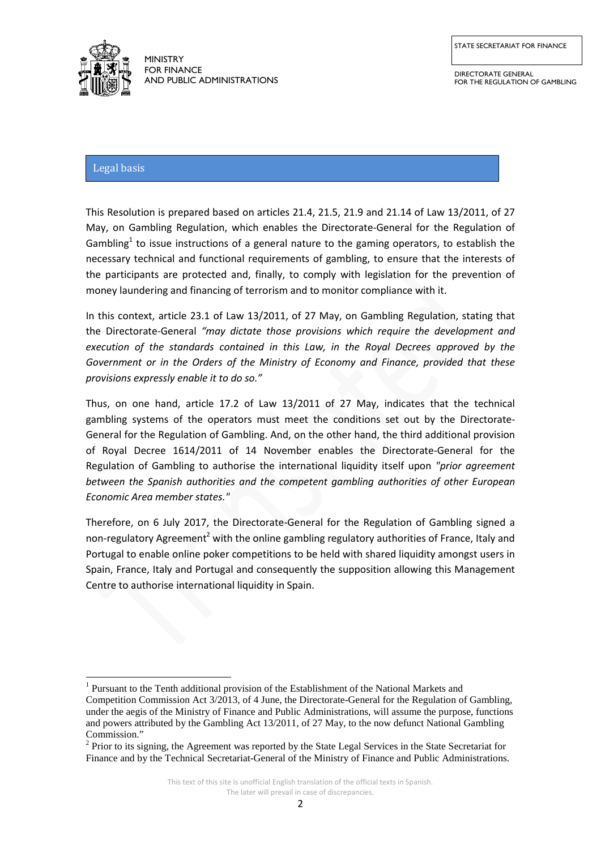

DIRECTORATE GENERAL FOR THE REGULATION OF GAMBLING

# Legal basis

This Resolution is prepared based on articles 21.4, 21.5, 21.9 and 21.14 of Law 13/2011, of 27 May, on Gambling Regulation, which enables the Directorate-General for the Regulation of Gambling<sup>1</sup> to issue instructions of a general nature to the gaming operators, to establish the necessary technical and functional requirements of gambling, to ensure that the interests of the participants are protected and, finally, to comply with legislation for the prevention of money laundering and financing of terrorism and to monitor compliance with it.

In this context, article 23.1 of Law 13/2011, of 27 May, on Gambling Regulation, stating that the Directorate-General *"may dictate those provisions which require the development and execution of the standards contained in this Law, in the Royal Decrees approved by the Government or in the Orders of the Ministry of Economy and Finance, provided that these provisions expressly enable it to do so."* 

Thus, on one hand, article 17.2 of Law 13/2011 of 27 May, indicates that the technical gambling systems of the operators must meet the conditions set out by the Directorate-General for the Regulation of Gambling. And, on the other hand, the third additional provision of Royal Decree 1614/2011 of 14 November enables the Directorate-General for the Regulation of Gambling to authorise the international liquidity itself upon *"prior agreement between the Spanish authorities and the competent gambling authorities of other European Economic Area member states."*

Therefore, on 6 July 2017, the Directorate-General for the Regulation of Gambling signed a non-regulatory Agreement<sup>2</sup> with the online gambling regulatory authorities of France, Italy and Portugal to enable online poker competitions to be held with shared liquidity amongst users in Spain, France, Italy and Portugal and consequently the supposition allowing this Management Centre to authorise international liquidity in Spain.

 $1$  Pursuant to the Tenth additional provision of the Establishment of the National Markets and Competition Commission Act 3/2013, of 4 June, the Directorate-General for the Regulation of Gambling, under the aegis of the Ministry of Finance and Public Administrations, will assume the purpose, functions and powers attributed by the Gambling Act 13/2011, of 27 May, to the now defunct National Gambling Commission." **.** 

<sup>&</sup>lt;sup>2</sup> Prior to its signing, the Agreement was reported by the State Legal Services in the State Secretariat for Finance and by the Technical Secretariat-General of the Ministry of Finance and Public Administrations.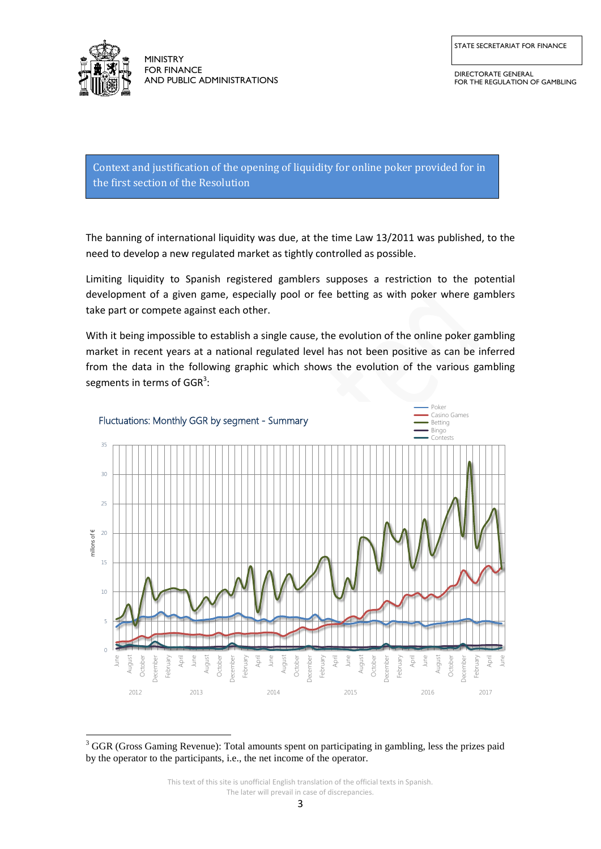

**.** 

MINISTRY FOR FINANCE AND PUBLIC ADMINISTRATIONS

DIRECTORATE GENERAL FOR THE REGULATION OF GAMBLING

Context and justification of the opening of liquidity for online poker provided for in the first section of the Resolution

The banning of international liquidity was due, at the time Law 13/2011 was published, to the need to develop a new regulated market as tightly controlled as possible.

Limiting liquidity to Spanish registered gamblers supposes a restriction to the potential development of a given game, especially pool or fee betting as with poker where gamblers take part or compete against each other.

With it being impossible to establish a single cause, the evolution of the online poker gambling market in recent years at a national regulated level has not been positive as can be inferred from the data in the following graphic which shows the evolution of the various gambling segments in terms of GGR<sup>3</sup>:



<sup>&</sup>lt;sup>3</sup> GGR (Gross Gaming Revenue): Total amounts spent on participating in gambling, less the prizes paid by the operator to the participants, i.e., the net income of the operator.

This text of this site is unofficial English translation of the official texts in Spanish. The later will prevail in case of discrepancies.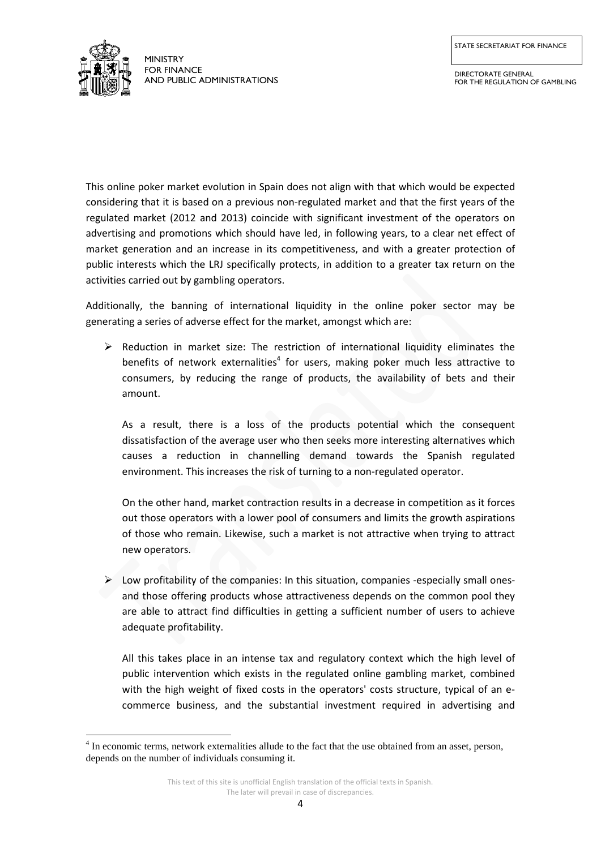STATE SECRETARIAT FOR FINANCE



**.** 

MINISTRY FOR FINANCE AND PUBLIC ADMINISTRATIONS

This online poker market evolution in Spain does not align with that which would be expected considering that it is based on a previous non-regulated market and that the first years of the regulated market (2012 and 2013) coincide with significant investment of the operators on advertising and promotions which should have led, in following years, to a clear net effect of market generation and an increase in its competitiveness, and with a greater protection of public interests which the LRJ specifically protects, in addition to a greater tax return on the activities carried out by gambling operators.

Additionally, the banning of international liquidity in the online poker sector may be generating a series of adverse effect for the market, amongst which are:

 $\triangleright$  Reduction in market size: The restriction of international liquidity eliminates the benefits of network externalities<sup>4</sup> for users, making poker much less attractive to consumers, by reducing the range of products, the availability of bets and their amount.

As a result, there is a loss of the products potential which the consequent dissatisfaction of the average user who then seeks more interesting alternatives which causes a reduction in channelling demand towards the Spanish regulated environment. This increases the risk of turning to a non-regulated operator.

On the other hand, market contraction results in a decrease in competition as it forces out those operators with a lower pool of consumers and limits the growth aspirations of those who remain. Likewise, such a market is not attractive when trying to attract new operators.

 $\triangleright$  Low profitability of the companies: In this situation, companies -especially small onesand those offering products whose attractiveness depends on the common pool they are able to attract find difficulties in getting a sufficient number of users to achieve adequate profitability.

All this takes place in an intense tax and regulatory context which the high level of public intervention which exists in the regulated online gambling market, combined with the high weight of fixed costs in the operators' costs structure, typical of an ecommerce business, and the substantial investment required in advertising and

<sup>&</sup>lt;sup>4</sup> In economic terms, network externalities allude to the fact that the use obtained from an asset, person, depends on the number of individuals consuming it.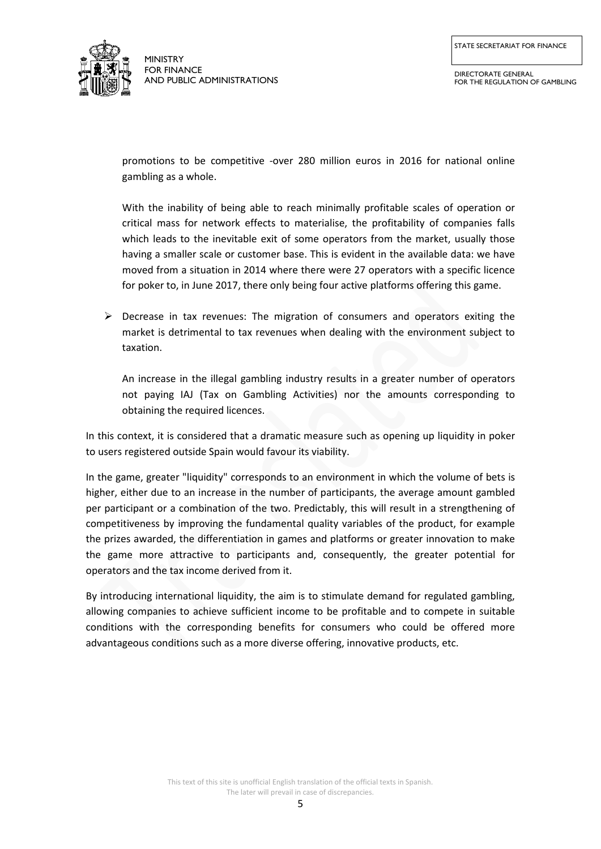

DIRECTORATE GENERAL FOR THE REGULATION OF GAMBLING

promotions to be competitive -over 280 million euros in 2016 for national online gambling as a whole.

With the inability of being able to reach minimally profitable scales of operation or critical mass for network effects to materialise, the profitability of companies falls which leads to the inevitable exit of some operators from the market, usually those having a smaller scale or customer base. This is evident in the available data: we have moved from a situation in 2014 where there were 27 operators with a specific licence for poker to, in June 2017, there only being four active platforms offering this game.

 $\triangleright$  Decrease in tax revenues: The migration of consumers and operators exiting the market is detrimental to tax revenues when dealing with the environment subject to taxation.

An increase in the illegal gambling industry results in a greater number of operators not paying IAJ (Tax on Gambling Activities) nor the amounts corresponding to obtaining the required licences.

In this context, it is considered that a dramatic measure such as opening up liquidity in poker to users registered outside Spain would favour its viability.

In the game, greater "liquidity" corresponds to an environment in which the volume of bets is higher, either due to an increase in the number of participants, the average amount gambled per participant or a combination of the two. Predictably, this will result in a strengthening of competitiveness by improving the fundamental quality variables of the product, for example the prizes awarded, the differentiation in games and platforms or greater innovation to make the game more attractive to participants and, consequently, the greater potential for operators and the tax income derived from it.

By introducing international liquidity, the aim is to stimulate demand for regulated gambling, allowing companies to achieve sufficient income to be profitable and to compete in suitable conditions with the corresponding benefits for consumers who could be offered more advantageous conditions such as a more diverse offering, innovative products, etc.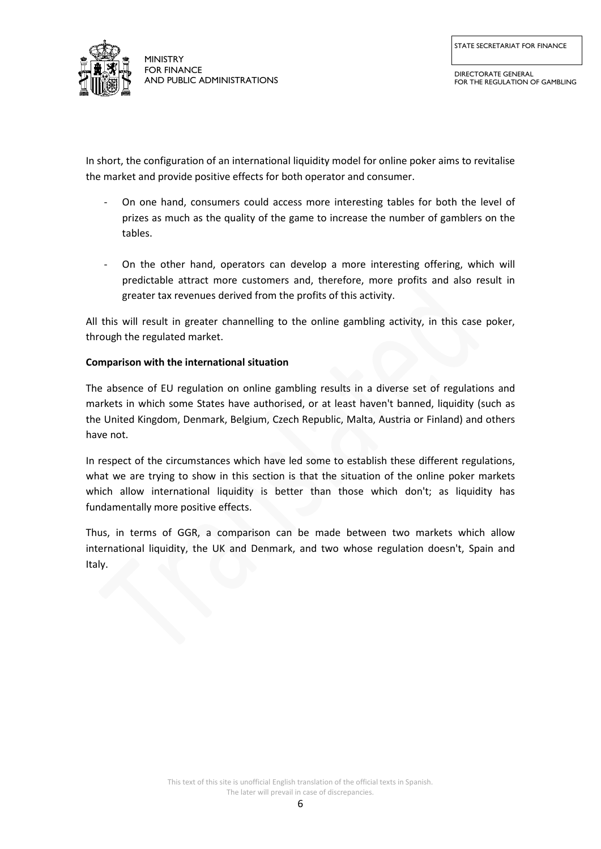

DIRECTORATE GENERAL FOR THE REGULATION OF GAMBLING

In short, the configuration of an international liquidity model for online poker aims to revitalise the market and provide positive effects for both operator and consumer.

- On one hand, consumers could access more interesting tables for both the level of prizes as much as the quality of the game to increase the number of gamblers on the tables.
- On the other hand, operators can develop a more interesting offering, which will predictable attract more customers and, therefore, more profits and also result in greater tax revenues derived from the profits of this activity.

All this will result in greater channelling to the online gambling activity, in this case poker, through the regulated market.

## **Comparison with the international situation**

The absence of EU regulation on online gambling results in a diverse set of regulations and markets in which some States have authorised, or at least haven't banned, liquidity (such as the United Kingdom, Denmark, Belgium, Czech Republic, Malta, Austria or Finland) and others have not.

In respect of the circumstances which have led some to establish these different regulations, what we are trying to show in this section is that the situation of the online poker markets which allow international liquidity is better than those which don't; as liquidity has fundamentally more positive effects.

Thus, in terms of GGR, a comparison can be made between two markets which allow international liquidity, the UK and Denmark, and two whose regulation doesn't, Spain and Italy.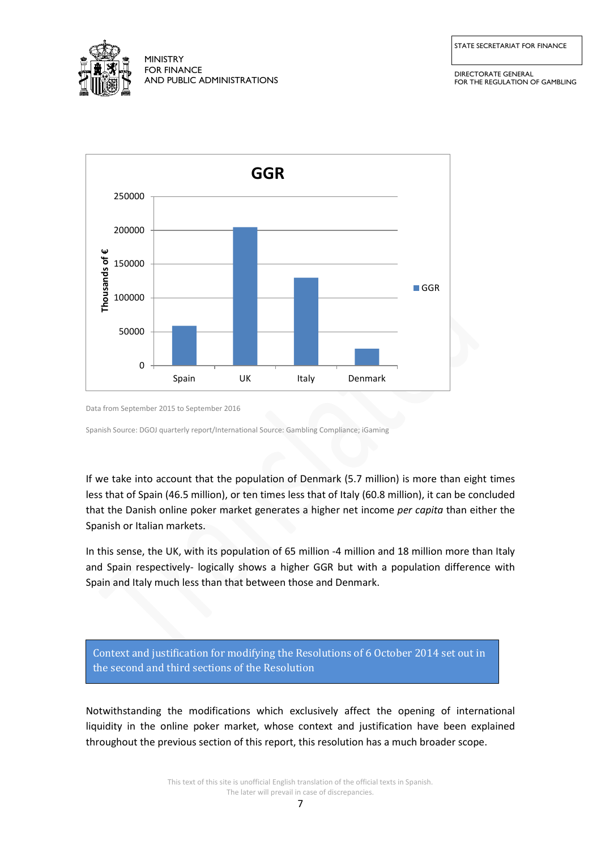

STATE SECRETARIAT FOR FINANCE

DIRECTORATE GENERAL FOR THE REGULATION OF GAMBLING



Data from September 2015 to September 2016

Spanish Source: DGOJ quarterly report/International Source: Gambling Compliance; iGaming

If we take into account that the population of Denmark (5.7 million) is more than eight times less that of Spain (46.5 million), or ten times less that of Italy (60.8 million), it can be concluded that the Danish online poker market generates a higher net income *per capita* than either the Spanish or Italian markets.

In this sense, the UK, with its population of 65 million -4 million and 18 million more than Italy and Spain respectively- logically shows a higher GGR but with a population difference with Spain and Italy much less than that between those and Denmark.

Context and justification for modifying the Resolutions of 6 October 2014 set out in the second and third sections of the Resolution

Notwithstanding the modifications which exclusively affect the opening of international liquidity in the online poker market, whose context and justification have been explained throughout the previous section of this report, this resolution has a much broader scope.

> This text of this site is unofficial English translation of the official texts in Spanish. The later will prevail in case of discrepancies.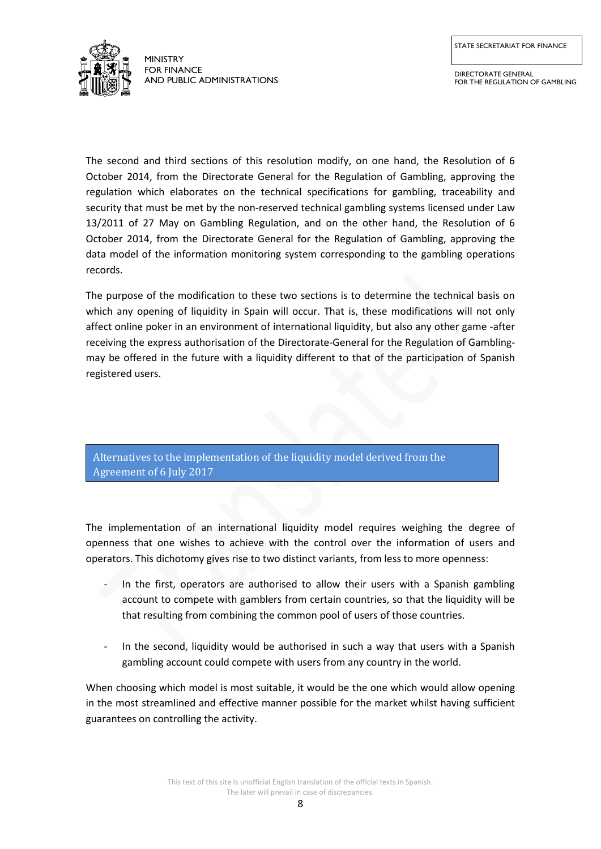

DIRECTORATE GENERAL FOR THE REGULATION OF GAMBLING

The second and third sections of this resolution modify, on one hand, the Resolution of 6 October 2014, from the Directorate General for the Regulation of Gambling, approving the regulation which elaborates on the technical specifications for gambling, traceability and security that must be met by the non-reserved technical gambling systems licensed under Law 13/2011 of 27 May on Gambling Regulation, and on the other hand, the Resolution of 6 October 2014, from the Directorate General for the Regulation of Gambling, approving the data model of the information monitoring system corresponding to the gambling operations records.

The purpose of the modification to these two sections is to determine the technical basis on which any opening of liquidity in Spain will occur. That is, these modifications will not only affect online poker in an environment of international liquidity, but also any other game -after receiving the express authorisation of the Directorate-General for the Regulation of Gamblingmay be offered in the future with a liquidity different to that of the participation of Spanish registered users.

Alternatives to the implementation of the liquidity model derived from the Agreement of 6 July 2017

The implementation of an international liquidity model requires weighing the degree of openness that one wishes to achieve with the control over the information of users and operators. This dichotomy gives rise to two distinct variants, from less to more openness:

- In the first, operators are authorised to allow their users with a Spanish gambling account to compete with gamblers from certain countries, so that the liquidity will be that resulting from combining the common pool of users of those countries.
- In the second, liquidity would be authorised in such a way that users with a Spanish gambling account could compete with users from any country in the world.

When choosing which model is most suitable, it would be the one which would allow opening in the most streamlined and effective manner possible for the market whilst having sufficient guarantees on controlling the activity.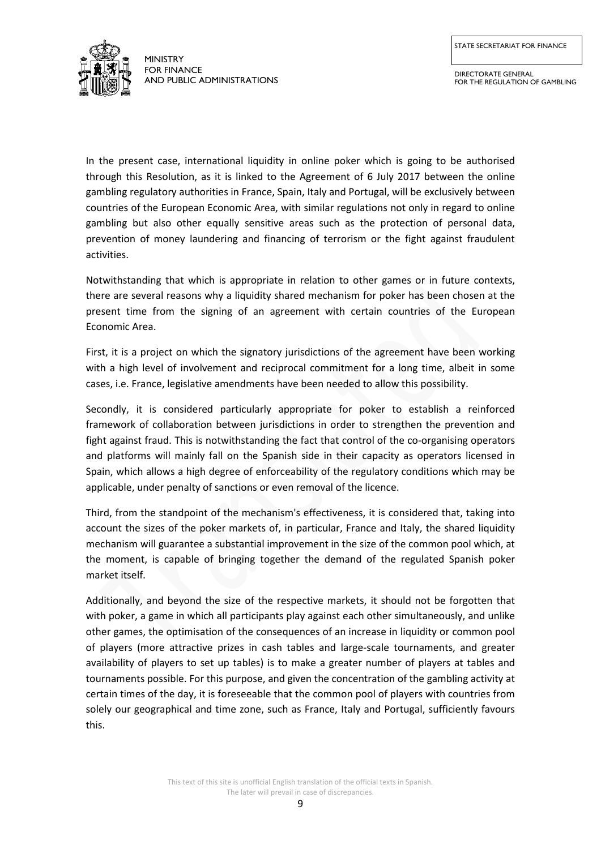STATE SECRETARIAT FOR FINANCE



MINISTRY FOR FINANCE AND PUBLIC ADMINISTRATIONS

DIRECTORATE GENERAL FOR THE REGULATION OF GAMBLING

In the present case, international liquidity in online poker which is going to be authorised through this Resolution, as it is linked to the Agreement of 6 July 2017 between the online gambling regulatory authorities in France, Spain, Italy and Portugal, will be exclusively between countries of the European Economic Area, with similar regulations not only in regard to online gambling but also other equally sensitive areas such as the protection of personal data, prevention of money laundering and financing of terrorism or the fight against fraudulent activities.

Notwithstanding that which is appropriate in relation to other games or in future contexts, there are several reasons why a liquidity shared mechanism for poker has been chosen at the present time from the signing of an agreement with certain countries of the European Economic Area.

First, it is a project on which the signatory jurisdictions of the agreement have been working with a high level of involvement and reciprocal commitment for a long time, albeit in some cases, i.e. France, legislative amendments have been needed to allow this possibility.

Secondly, it is considered particularly appropriate for poker to establish a reinforced framework of collaboration between jurisdictions in order to strengthen the prevention and fight against fraud. This is notwithstanding the fact that control of the co-organising operators and platforms will mainly fall on the Spanish side in their capacity as operators licensed in Spain, which allows a high degree of enforceability of the regulatory conditions which may be applicable, under penalty of sanctions or even removal of the licence.

Third, from the standpoint of the mechanism's effectiveness, it is considered that, taking into account the sizes of the poker markets of, in particular, France and Italy, the shared liquidity mechanism will guarantee a substantial improvement in the size of the common pool which, at the moment, is capable of bringing together the demand of the regulated Spanish poker market itself.

Additionally, and beyond the size of the respective markets, it should not be forgotten that with poker, a game in which all participants play against each other simultaneously, and unlike other games, the optimisation of the consequences of an increase in liquidity or common pool of players (more attractive prizes in cash tables and large-scale tournaments, and greater availability of players to set up tables) is to make a greater number of players at tables and tournaments possible. For this purpose, and given the concentration of the gambling activity at certain times of the day, it is foreseeable that the common pool of players with countries from solely our geographical and time zone, such as France, Italy and Portugal, sufficiently favours this.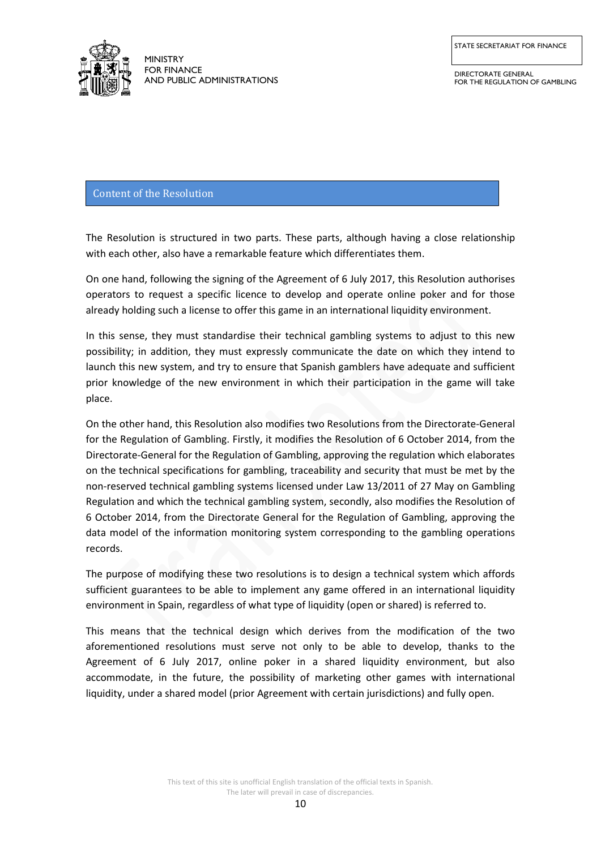

DIRECTORATE GENERAL FOR THE REGULATION OF GAMBLING

## Content of the Resolution

The Resolution is structured in two parts. These parts, although having a close relationship with each other, also have a remarkable feature which differentiates them.

On one hand, following the signing of the Agreement of 6 July 2017, this Resolution authorises operators to request a specific licence to develop and operate online poker and for those already holding such a license to offer this game in an international liquidity environment.

In this sense, they must standardise their technical gambling systems to adjust to this new possibility; in addition, they must expressly communicate the date on which they intend to launch this new system, and try to ensure that Spanish gamblers have adequate and sufficient prior knowledge of the new environment in which their participation in the game will take place.

On the other hand, this Resolution also modifies two Resolutions from the Directorate-General for the Regulation of Gambling. Firstly, it modifies the Resolution of 6 October 2014, from the Directorate-General for the Regulation of Gambling, approving the regulation which elaborates on the technical specifications for gambling, traceability and security that must be met by the non-reserved technical gambling systems licensed under Law 13/2011 of 27 May on Gambling Regulation and which the technical gambling system, secondly, also modifies the Resolution of 6 October 2014, from the Directorate General for the Regulation of Gambling, approving the data model of the information monitoring system corresponding to the gambling operations records.

The purpose of modifying these two resolutions is to design a technical system which affords sufficient guarantees to be able to implement any game offered in an international liquidity environment in Spain, regardless of what type of liquidity (open or shared) is referred to.

This means that the technical design which derives from the modification of the two aforementioned resolutions must serve not only to be able to develop, thanks to the Agreement of 6 July 2017, online poker in a shared liquidity environment, but also accommodate, in the future, the possibility of marketing other games with international liquidity, under a shared model (prior Agreement with certain jurisdictions) and fully open.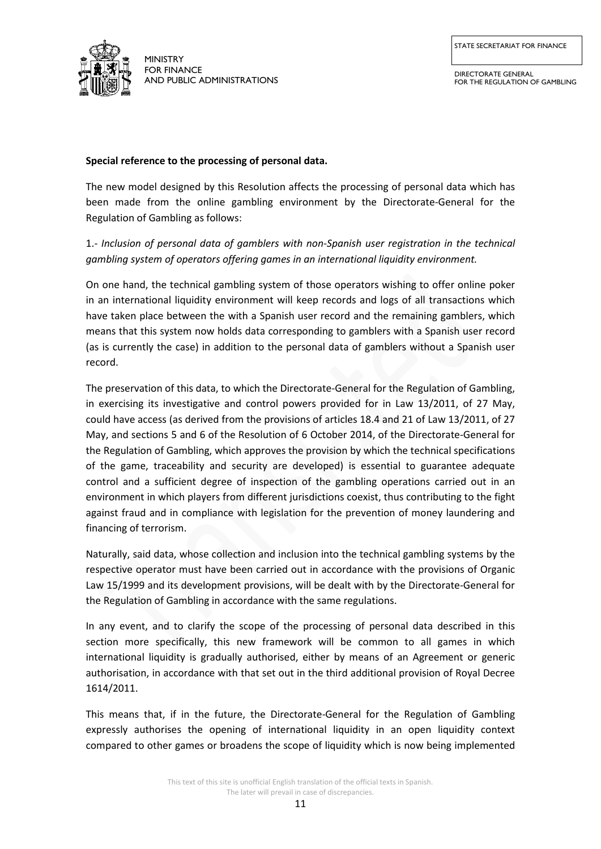

DIRECTORATE GENERAL FOR THE REGULATION OF GAMBLING

#### **Special reference to the processing of personal data.**

The new model designed by this Resolution affects the processing of personal data which has been made from the online gambling environment by the Directorate-General for the Regulation of Gambling as follows:

# 1.- *Inclusion of personal data of gamblers with non-Spanish user registration in the technical gambling system of operators offering games in an international liquidity environment.*

On one hand, the technical gambling system of those operators wishing to offer online poker in an international liquidity environment will keep records and logs of all transactions which have taken place between the with a Spanish user record and the remaining gamblers, which means that this system now holds data corresponding to gamblers with a Spanish user record (as is currently the case) in addition to the personal data of gamblers without a Spanish user record.

The preservation of this data, to which the Directorate-General for the Regulation of Gambling, in exercising its investigative and control powers provided for in Law 13/2011, of 27 May, could have access (as derived from the provisions of articles 18.4 and 21 of Law 13/2011, of 27 May, and sections 5 and 6 of the Resolution of 6 October 2014, of the Directorate-General for the Regulation of Gambling, which approves the provision by which the technical specifications of the game, traceability and security are developed) is essential to guarantee adequate control and a sufficient degree of inspection of the gambling operations carried out in an environment in which players from different jurisdictions coexist, thus contributing to the fight against fraud and in compliance with legislation for the prevention of money laundering and financing of terrorism.

Naturally, said data, whose collection and inclusion into the technical gambling systems by the respective operator must have been carried out in accordance with the provisions of Organic Law 15/1999 and its development provisions, will be dealt with by the Directorate-General for the Regulation of Gambling in accordance with the same regulations.

In any event, and to clarify the scope of the processing of personal data described in this section more specifically, this new framework will be common to all games in which international liquidity is gradually authorised, either by means of an Agreement or generic authorisation, in accordance with that set out in the third additional provision of Royal Decree 1614/2011.

This means that, if in the future, the Directorate-General for the Regulation of Gambling expressly authorises the opening of international liquidity in an open liquidity context compared to other games or broadens the scope of liquidity which is now being implemented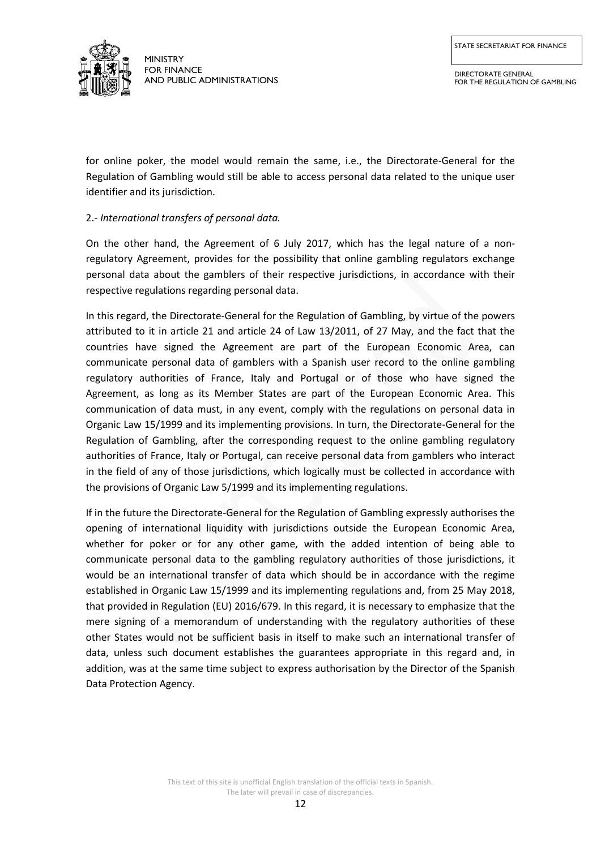

for online poker, the model would remain the same, i.e., the Directorate-General for the Regulation of Gambling would still be able to access personal data related to the unique user identifier and its jurisdiction.

# 2.- *International transfers of personal data.*

On the other hand, the Agreement of 6 July 2017, which has the legal nature of a nonregulatory Agreement, provides for the possibility that online gambling regulators exchange personal data about the gamblers of their respective jurisdictions, in accordance with their respective regulations regarding personal data.

In this regard, the Directorate-General for the Regulation of Gambling, by virtue of the powers attributed to it in article 21 and article 24 of Law 13/2011, of 27 May, and the fact that the countries have signed the Agreement are part of the European Economic Area, can communicate personal data of gamblers with a Spanish user record to the online gambling regulatory authorities of France, Italy and Portugal or of those who have signed the Agreement, as long as its Member States are part of the European Economic Area. This communication of data must, in any event, comply with the regulations on personal data in Organic Law 15/1999 and its implementing provisions. In turn, the Directorate-General for the Regulation of Gambling, after the corresponding request to the online gambling regulatory authorities of France, Italy or Portugal, can receive personal data from gamblers who interact in the field of any of those jurisdictions, which logically must be collected in accordance with the provisions of Organic Law 5/1999 and its implementing regulations.

If in the future the Directorate-General for the Regulation of Gambling expressly authorises the opening of international liquidity with jurisdictions outside the European Economic Area, whether for poker or for any other game, with the added intention of being able to communicate personal data to the gambling regulatory authorities of those jurisdictions, it would be an international transfer of data which should be in accordance with the regime established in Organic Law 15/1999 and its implementing regulations and, from 25 May 2018, that provided in Regulation (EU) 2016/679. In this regard, it is necessary to emphasize that the mere signing of a memorandum of understanding with the regulatory authorities of these other States would not be sufficient basis in itself to make such an international transfer of data, unless such document establishes the guarantees appropriate in this regard and, in addition, was at the same time subject to express authorisation by the Director of the Spanish Data Protection Agency.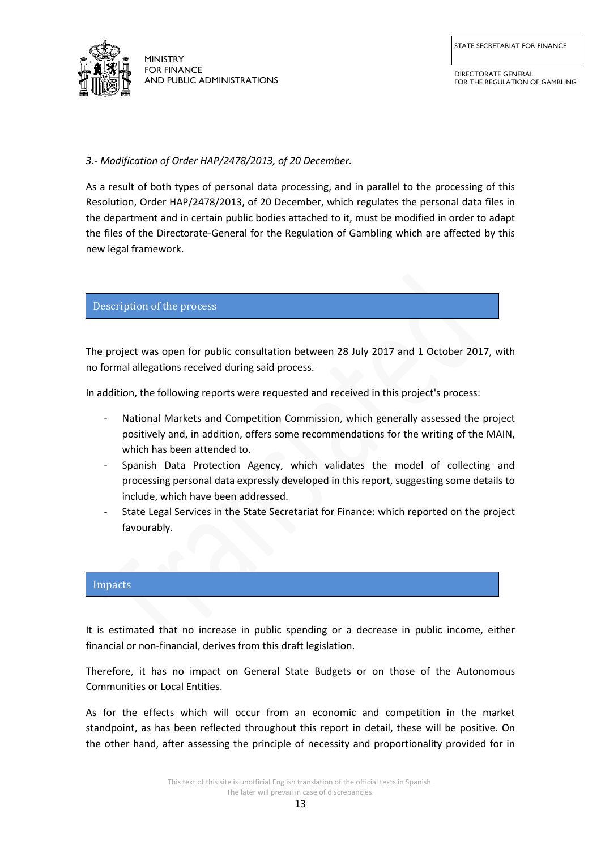

DIRECTORATE GENERAL FOR THE REGULATION OF GAMBLING

*3.- Modification of Order HAP/2478/2013, of 20 December.*

As a result of both types of personal data processing, and in parallel to the processing of this Resolution, Order HAP/2478/2013, of 20 December, which regulates the personal data files in the department and in certain public bodies attached to it, must be modified in order to adapt the files of the Directorate-General for the Regulation of Gambling which are affected by this new legal framework.

## Description of the process

The project was open for public consultation between 28 July 2017 and 1 October 2017, with no formal allegations received during said process.

In addition, the following reports were requested and received in this project's process:

- National Markets and Competition Commission, which generally assessed the project positively and, in addition, offers some recommendations for the writing of the MAIN, which has been attended to.
- Spanish Data Protection Agency, which validates the model of collecting and processing personal data expressly developed in this report, suggesting some details to include, which have been addressed.
- State Legal Services in the State Secretariat for Finance: which reported on the project favourably.

# **Budgetary** impacts

It is estimated that no increase in public spending or a decrease in public income, either financial or non-financial, derives from this draft legislation.

Therefore, it has no impact on General State Budgets or on those of the Autonomous Communities or Local Entities.

As for the effects which will occur from an economic and competition in the market standpoint, as has been reflected throughout this report in detail, these will be positive. On the other hand, after assessing the principle of necessity and proportionality provided for in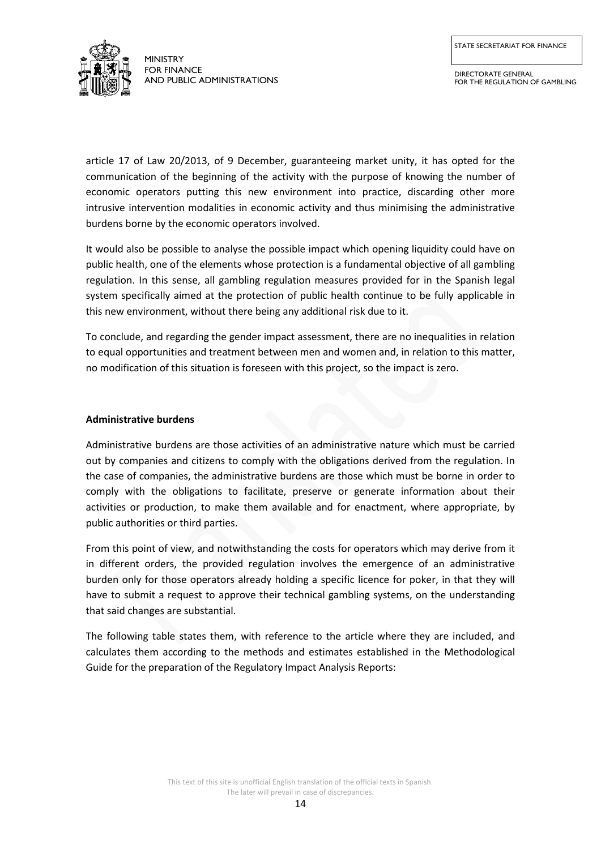

DIRECTORATE GENERAL FOR THE REGULATION OF GAMBLING

article 17 of Law 20/2013, of 9 December, guaranteeing market unity, it has opted for the communication of the beginning of the activity with the purpose of knowing the number of economic operators putting this new environment into practice, discarding other more intrusive intervention modalities in economic activity and thus minimising the administrative burdens borne by the economic operators involved.

It would also be possible to analyse the possible impact which opening liquidity could have on public health, one of the elements whose protection is a fundamental objective of all gambling regulation. In this sense, all gambling regulation measures provided for in the Spanish legal system specifically aimed at the protection of public health continue to be fully applicable in this new environment, without there being any additional risk due to it.

To conclude, and regarding the gender impact assessment, there are no inequalities in relation to equal opportunities and treatment between men and women and, in relation to this matter, no modification of this situation is foreseen with this project, so the impact is zero.

## **Administrative burdens**

Administrative burdens are those activities of an administrative nature which must be carried out by companies and citizens to comply with the obligations derived from the regulation. In the case of companies, the administrative burdens are those which must be borne in order to comply with the obligations to facilitate, preserve or generate information about their activities or production, to make them available and for enactment, where appropriate, by public authorities or third parties.

From this point of view, and notwithstanding the costs for operators which may derive from it in different orders, the provided regulation involves the emergence of an administrative burden only for those operators already holding a specific licence for poker, in that they will have to submit a request to approve their technical gambling systems, on the understanding that said changes are substantial.

The following table states them, with reference to the article where they are included, and calculates them according to the methods and estimates established in the Methodological Guide for the preparation of the Regulatory Impact Analysis Reports: